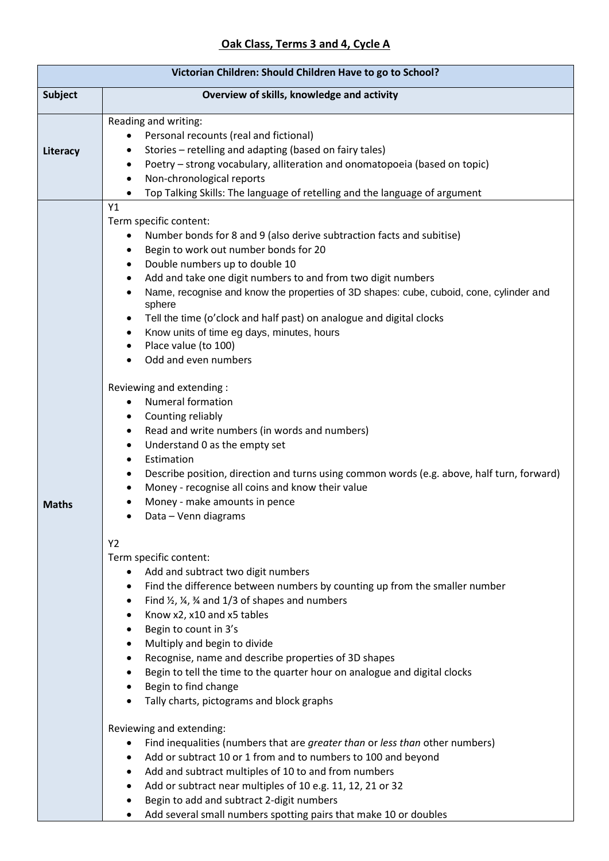| Victorian Children: Should Children Have to go to School? |                                                                                                                                                                                                                                                                                                                                                                                                                                                                                                                                                                                                                                                                                                                                                                                                                                                                                                                                                                                                                                                                                                                                                                                                         |  |
|-----------------------------------------------------------|---------------------------------------------------------------------------------------------------------------------------------------------------------------------------------------------------------------------------------------------------------------------------------------------------------------------------------------------------------------------------------------------------------------------------------------------------------------------------------------------------------------------------------------------------------------------------------------------------------------------------------------------------------------------------------------------------------------------------------------------------------------------------------------------------------------------------------------------------------------------------------------------------------------------------------------------------------------------------------------------------------------------------------------------------------------------------------------------------------------------------------------------------------------------------------------------------------|--|
| <b>Subject</b>                                            | Overview of skills, knowledge and activity                                                                                                                                                                                                                                                                                                                                                                                                                                                                                                                                                                                                                                                                                                                                                                                                                                                                                                                                                                                                                                                                                                                                                              |  |
| Literacy                                                  | Reading and writing:<br>Personal recounts (real and fictional)<br>Stories - retelling and adapting (based on fairy tales)<br>Poetry - strong vocabulary, alliteration and onomatopoeia (based on topic)<br>$\bullet$<br>Non-chronological reports<br>$\bullet$<br>Top Talking Skills: The language of retelling and the language of argument<br>$\bullet$                                                                                                                                                                                                                                                                                                                                                                                                                                                                                                                                                                                                                                                                                                                                                                                                                                               |  |
| <b>Maths</b>                                              | Y1<br>Term specific content:<br>Number bonds for 8 and 9 (also derive subtraction facts and subitise)<br>Begin to work out number bonds for 20<br>٠<br>Double numbers up to double 10<br>$\bullet$<br>Add and take one digit numbers to and from two digit numbers<br>$\bullet$<br>Name, recognise and know the properties of 3D shapes: cube, cuboid, cone, cylinder and<br>sphere<br>Tell the time (o'clock and half past) on analogue and digital clocks<br>٠<br>Know units of time eg days, minutes, hours<br>٠<br>Place value (to 100)<br>$\bullet$<br>Odd and even numbers<br>$\bullet$<br>Reviewing and extending:<br><b>Numeral formation</b><br>$\bullet$<br>Counting reliably<br>٠<br>Read and write numbers (in words and numbers)<br>٠<br>Understand 0 as the empty set<br>$\bullet$<br>Estimation<br>$\bullet$<br>Describe position, direction and turns using common words (e.g. above, half turn, forward)<br>Money - recognise all coins and know their value<br>Money - make amounts in pence<br>Data - Venn diagrams<br>Y2<br>Term specific content:<br>Add and subtract two digit numbers<br>Find the difference between numbers by counting up from the smaller number<br>$\bullet$ |  |
|                                                           | Find $\frac{1}{2}$ , $\frac{1}{4}$ , $\frac{3}{4}$ and 1/3 of shapes and numbers<br>$\bullet$<br>Know x2, x10 and x5 tables<br>$\bullet$<br>Begin to count in 3's<br>٠<br>Multiply and begin to divide<br>$\bullet$<br>Recognise, name and describe properties of 3D shapes<br>٠<br>Begin to tell the time to the quarter hour on analogue and digital clocks<br>$\bullet$<br>Begin to find change<br>$\bullet$<br>Tally charts, pictograms and block graphs<br>$\bullet$                                                                                                                                                                                                                                                                                                                                                                                                                                                                                                                                                                                                                                                                                                                               |  |
|                                                           | Reviewing and extending:<br>Find inequalities (numbers that are greater than or less than other numbers)<br>$\bullet$<br>Add or subtract 10 or 1 from and to numbers to 100 and beyond<br>Add and subtract multiples of 10 to and from numbers<br>$\bullet$<br>Add or subtract near multiples of 10 e.g. 11, 12, 21 or 32<br>$\bullet$<br>Begin to add and subtract 2-digit numbers<br>Add several small numbers spotting pairs that make 10 or doubles<br>$\bullet$                                                                                                                                                                                                                                                                                                                                                                                                                                                                                                                                                                                                                                                                                                                                    |  |